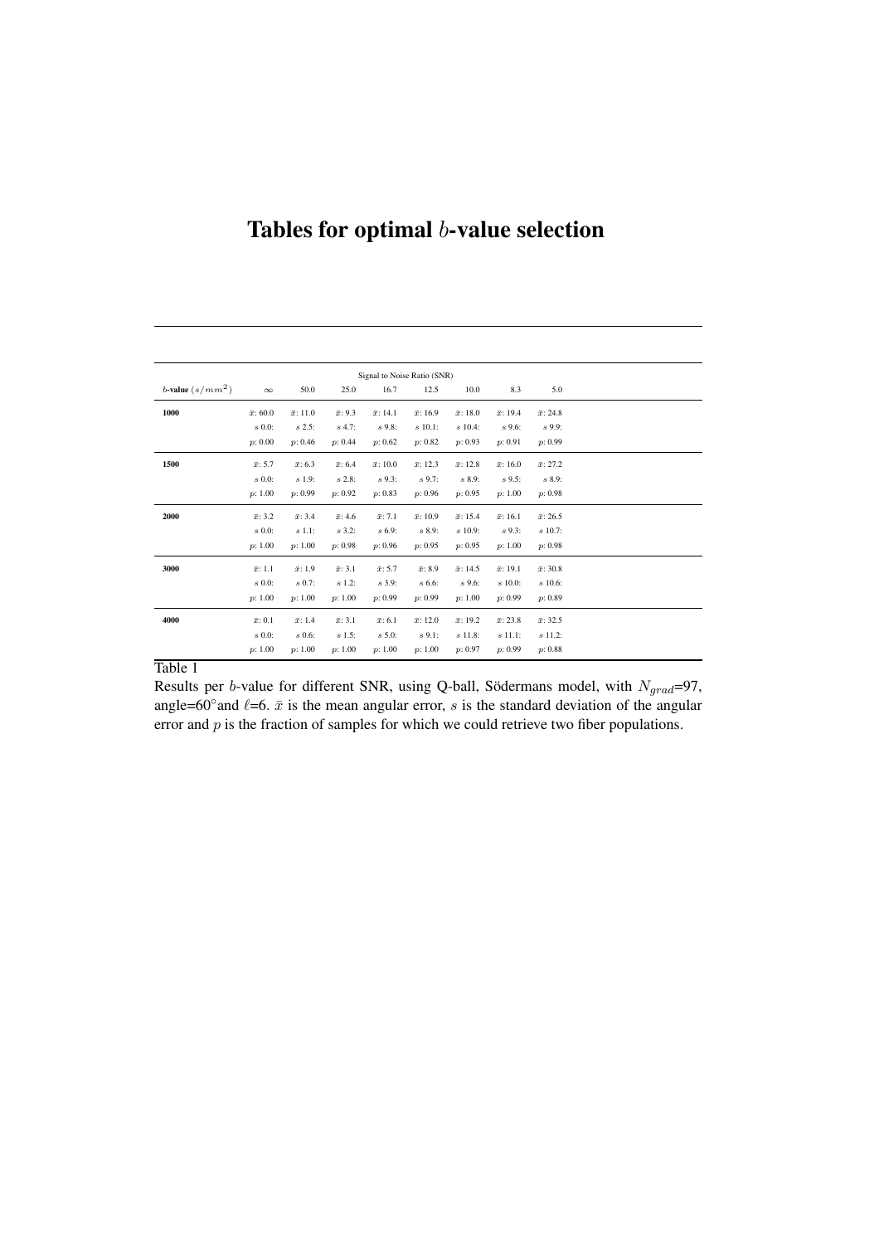## Tables for optimal *b*-value selection

| Signal to Noise Ratio (SNR) |                  |                  |                 |                  |                  |                  |                  |                  |  |  |
|-----------------------------|------------------|------------------|-----------------|------------------|------------------|------------------|------------------|------------------|--|--|
| b-value $(s/mm^2)$          | $\infty$         | 50.0             | 25.0            | 16.7             | 12.5             | 10.0             | 8.3              | 5.0              |  |  |
| 1000                        | $\bar{x}$ : 60.0 | $\bar{x}$ : 11.0 | $\bar{x}$ : 9.3 | $\bar{x}$ : 14.1 | $\bar{x}$ : 16.9 | $\bar{x}$ : 18.0 | $\bar{x}$ : 19.4 | $\bar{x}$ : 24.8 |  |  |
|                             | $s\,0.0$ :       | s 2.5:           | $s$ 4.7:        | $s\,9.8$ :       | $s$ 10.1:        | $s 10.4$ :       | $s$ 9.6:         | $s$ 9.9:         |  |  |
|                             | p: 0.00          | p: 0.46          | p: 0.44         | p: 0.62          | p: 0.82          | p: 0.93          | p: 0.91          | p: 0.99          |  |  |
| 1500                        | $\bar{x}$ : 5.7  | $\bar{x}$ : 6.3  | $\bar{x}$ : 6.4 | $\bar{x}$ : 10.0 | $\bar{x}$ : 12.3 | $\bar{x}$ : 12.8 | $\bar{x}$ : 16.0 | $\bar{x}$ : 27.2 |  |  |
|                             | $s\ 0.0$ :       | s 1.9:           | $s2.8$ :        | $s\,9.3$ :       | $s$ 9.7:         | s 8.9:           | $s$ 9.5:         | s 8.9:           |  |  |
|                             | p: 1.00          | p: 0.99          | p: 0.92         | p: 0.83          | p: 0.96          | p: 0.95          | p: 1.00          | p: 0.98          |  |  |
| 2000                        | $\bar{x}$ : 3.2  | $\bar{x}$ : 3.4  | $\bar{x}$ : 4.6 | $\bar{x}$ : 7.1  | $\bar{x}$ : 10.9 | $\bar{x}$ : 15.4 | $\bar{x}$ : 16.1 | $\bar{x}$ : 26.5 |  |  |
|                             | $s\,0.0$ :       | s 1.1:           | $s$ 3.2:        | $s\,6.9$ :       | s 8.9:           | $s$ 10.9:        | $s$ 9.3:         | $s$ 10.7:        |  |  |
|                             | p: 1.00          | p: 1.00          | p: 0.98         | p: 0.96          | p: 0.95          | p: 0.95          | p: 1.00          | p: 0.98          |  |  |
| 3000                        | $\bar{x}$ : 1.1  | $\bar{x}$ : 1.9  | $\bar{x}$ : 3.1 | $\bar{x}$ : 5.7  | $\bar{x}$ : 8.9  | $\bar{x}$ : 14.5 | $\bar{x}$ : 19.1 | $\bar{x}$ : 30.8 |  |  |
|                             | $s\,0.0$ :       | $s(0.7)$ :       | $s 1.2$ :       | $s$ 3.9:         | $s 6.6$ :        | $s\,9.6$ :       | $s$ 10.0:        | $s$ 10.6:        |  |  |
|                             | p: 1.00          | p: 1.00          | p: 1.00         | p: 0.99          | p: 0.99          | p: 1.00          | p: 0.99          | p: 0.89          |  |  |
| 4000                        | $\bar{x}$ : 0.1  | $\bar{x}$ : 1.4  | $\bar{x}$ : 3.1 | $\bar{x}$ : 6.1  | $\bar{x}$ : 12.0 | $\bar{x}$ : 19.2 | $\bar{x}$ : 23.8 | $\bar{x}$ : 32.5 |  |  |
|                             | $s\,0.0$ :       | $s\,0.6$ :       | $s 1.5$ :       | s 5.0:           | $s$ 9.1:         | $s$ 11.8:        | s 11.1:          | $s$ 11.2:        |  |  |
|                             | p: 1.00          | p: 1.00          | p: 1.00         | p: 1.00          | p: 1.00          | p: 0.97          | p: 0.99          | p: 0.88          |  |  |

## Table 1

Results per *b*-value for different SNR, using Q-ball, Södermans model, with  $N_{grad}$ =97, angle=60° and  $\ell$ =6.  $\bar{x}$  is the mean angular error, *s* is the standard deviation of the angular error and *p* is the fraction of samples for which we could retrieve two fiber populations.